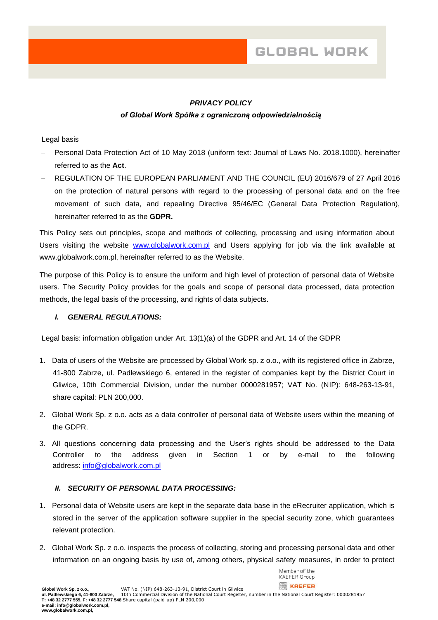## *PRIVACY POLICY*

### *of Global Work Spółka z ograniczoną odpowiedzialnością*

#### Legal basis

- − Personal Data Protection Act of 10 May 2018 (uniform text: Journal of Laws No. 2018.1000), hereinafter referred to as the **Act**.
- − REGULATION OF THE EUROPEAN PARLIAMENT AND THE COUNCIL (EU) 2016/679 of 27 April 2016 on the protection of natural persons with regard to the processing of personal data and on the free movement of such data, and repealing Directive 95/46/EC (General Data Protection Regulation), hereinafter referred to as the **GDPR.**

This Policy sets out principles, scope and methods of collecting, processing and using information about Users visiting the website [www.globalwork.com.pl](http://www.globalwork.com.pl/) and Users applying for job via the link available at www.globalwork.com.pl, hereinafter referred to as the Website.

The purpose of this Policy is to ensure the uniform and high level of protection of personal data of Website users. The Security Policy provides for the goals and scope of personal data processed, data protection methods, the legal basis of the processing, and rights of data subjects.

### *I. GENERAL REGULATIONS:*

Legal basis: information obligation under Art. 13(1)(a) of the GDPR and Art. 14 of the GDPR

- 1. Data of users of the Website are processed by Global Work sp. z o.o., with its registered office in Zabrze, 41-800 Zabrze, ul. Padlewskiego 6, entered in the register of companies kept by the District Court in Gliwice, 10th Commercial Division, under the number 0000281957; VAT No. (NIP): 648-263-13-91, share capital: PLN 200,000.
- 2. Global Work Sp. z o.o. acts as a data controller of personal data of Website users within the meaning of the GDPR.
- 3. All questions concerning data processing and the User's rights should be addressed to the Data Controller to the address given in Section 1 or by e-mail to the following address: [info@globalwork.com.pl](mailto:info@globalwork.com.pl)

### *II. SECURITY OF PERSONAL DATA PROCESSING:*

- 1. Personal data of Website users are kept in the separate data base in the eRecruiter application, which is stored in the server of the application software supplier in the special security zone, which guarantees relevant protection.
- 2. Global Work Sp. z o.o. inspects the process of collecting, storing and processing personal data and other information on an ongoing basis by use of, among others, physical safety measures, in order to protect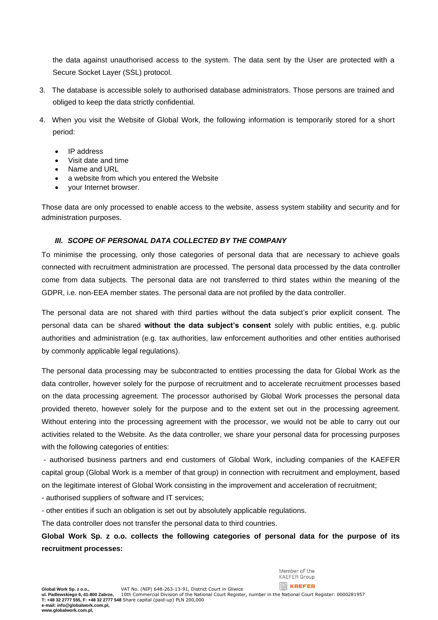the data against unauthorised access to the system. The data sent by the User are protected with a Secure Socket Layer (SSL) protocol.

- 3. The database is accessible solely to authorised database administrators. Those persons are trained and obliged to keep the data strictly confidential.
- 4. When you visit the Website of Global Work, the following information is temporarily stored for a short period:
	- IP address
	- Visit date and time
	- Name and URL
	- a website from which you entered the Website
	- your Internet browser.

Those data are only processed to enable access to the website, assess system stability and security and for administration purposes.

## *III. SCOPE OF PERSONAL DATA COLLECTED BY THE COMPANY*

To minimise the processing, only those categories of personal data that are necessary to achieve goals connected with recruitment administration are processed. The personal data processed by the data controller come from data subjects. The personal data are not transferred to third states within the meaning of the GDPR, i.e. non-EEA member states. The personal data are not profiled by the data controller.

The personal data are not shared with third parties without the data subject's prior explicit consent. The personal data can be shared **without the data subject's consent** solely with public entities, e.g. public authorities and administration (e.g. tax authorities, law enforcement authorities and other entities authorised by commonly applicable legal regulations).

The personal data processing may be subcontracted to entities processing the data for Global Work as the data controller, however solely for the purpose of recruitment and to accelerate recruitment processes based on the data processing agreement. The processor authorised by Global Work processes the personal data provided thereto, however solely for the purpose and to the extent set out in the processing agreement. Without entering into the processing agreement with the processor, we would not be able to carry out our activities related to the Website. As the data controller, we share your personal data for processing purposes with the following categories of entities:

- authorised business partners and end customers of Global Work, including companies of the KAEFER capital group (Global Work is a member of that group) in connection with recruitment and employment, based on the legitimate interest of Global Work consisting in the improvement and acceleration of recruitment;

- authorised suppliers of software and IT services;

- other entities if such an obligation is set out by absolutely applicable regulations.

The data controller does not transfer the personal data to third countries.

**Global Work Sp. z o.o. collects the following categories of personal data for the purpose of its recruitment processes:**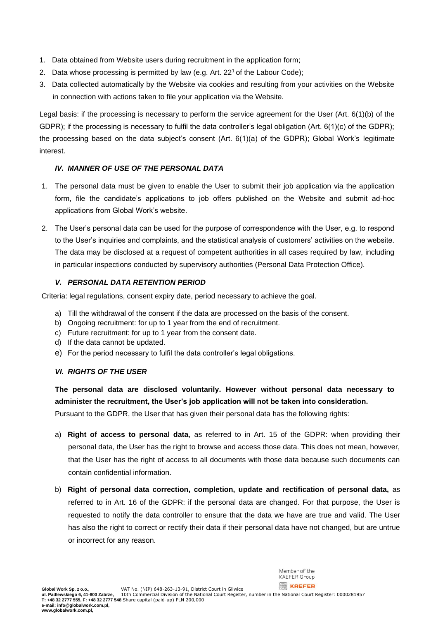- 1. Data obtained from Website users during recruitment in the application form;
- 2. Data whose processing is permitted by law (e.g. Art. 22<sup>1</sup> of the Labour Code);
- 3. Data collected automatically by the Website via cookies and resulting from your activities on the Website in connection with actions taken to file your application via the Website.

Legal basis: if the processing is necessary to perform the service agreement for the User (Art. 6(1)(b) of the GDPR); if the processing is necessary to fulfil the data controller's legal obligation (Art. 6(1)(c) of the GDPR); the processing based on the data subject's consent (Art. 6(1)(a) of the GDPR); Global Work's legitimate interest.

# *IV. MANNER OF USE OF THE PERSONAL DATA*

- 1. The personal data must be given to enable the User to submit their job application via the application form, file the candidate's applications to job offers published on the Website and submit ad-hoc applications from Global Work's website.
- 2. The User's personal data can be used for the purpose of correspondence with the User, e.g. to respond to the User's inquiries and complaints, and the statistical analysis of customers' activities on the website. The data may be disclosed at a request of competent authorities in all cases required by law, including in particular inspections conducted by supervisory authorities (Personal Data Protection Office).

## *V. PERSONAL DATA RETENTION PERIOD*

Criteria: legal regulations, consent expiry date, period necessary to achieve the goal.

- a) Till the withdrawal of the consent if the data are processed on the basis of the consent.
- b) Ongoing recruitment: for up to 1 year from the end of recruitment.
- c) Future recruitment: for up to 1 year from the consent date.
- d) If the data cannot be updated.
- e) For the period necessary to fulfil the data controller's legal obligations.

### *VI. RIGHTS OF THE USER*

**The personal data are disclosed voluntarily. However without personal data necessary to administer the recruitment, the User's job application will not be taken into consideration.**  Pursuant to the GDPR, the User that has given their personal data has the following rights:

- a) **Right of access to personal data**, as referred to in Art. 15 of the GDPR: when providing their personal data, the User has the right to browse and access those data. This does not mean, however, that the User has the right of access to all documents with those data because such documents can contain confidential information.
- b) **Right of personal data correction, completion, update and rectification of personal data,** as referred to in Art. 16 of the GDPR: if the personal data are changed. For that purpose, the User is requested to notify the data controller to ensure that the data we have are true and valid. The User has also the right to correct or rectify their data if their personal data have not changed, but are untrue or incorrect for any reason.

Member of the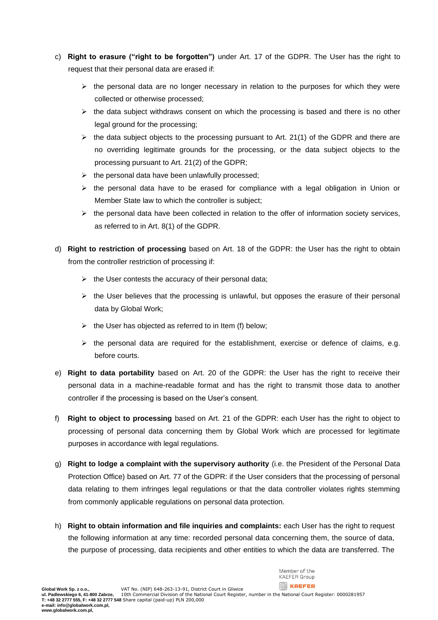- c) **Right to erasure ("right to be forgotten")** under Art. 17 of the GDPR. The User has the right to request that their personal data are erased if:
	- $\triangleright$  the personal data are no longer necessary in relation to the purposes for which they were collected or otherwise processed;
	- $\triangleright$  the data subject withdraws consent on which the processing is based and there is no other legal ground for the processing;
	- $\triangleright$  the data subject objects to the processing pursuant to Art. 21(1) of the GDPR and there are no overriding legitimate grounds for the processing, or the data subject objects to the processing pursuant to Art. 21(2) of the GDPR;
	- $\triangleright$  the personal data have been unlawfully processed;
	- $\triangleright$  the personal data have to be erased for compliance with a legal obligation in Union or Member State law to which the controller is subject;
	- $\triangleright$  the personal data have been collected in relation to the offer of information society services, as referred to in Art. 8(1) of the GDPR.
- d) **Right to restriction of processing** based on Art. 18 of the GDPR: the User has the right to obtain from the controller restriction of processing if:
	- $\triangleright$  the User contests the accuracy of their personal data;
	- ➢ the User believes that the processing is unlawful, but opposes the erasure of their personal data by Global Work;
	- $\triangleright$  the User has objected as referred to in Item (f) below;
	- $\triangleright$  the personal data are required for the establishment, exercise or defence of claims, e.g. before courts.
- e) **Right to data portability** based on Art. 20 of the GDPR: the User has the right to receive their personal data in a machine-readable format and has the right to transmit those data to another controller if the processing is based on the User's consent.
- f) **Right to object to processing** based on Art. 21 of the GDPR: each User has the right to object to processing of personal data concerning them by Global Work which are processed for legitimate purposes in accordance with legal regulations.
- g) **Right to lodge a complaint with the supervisory authority** (i.e. the President of the Personal Data Protection Office) based on Art. 77 of the GDPR: if the User considers that the processing of personal data relating to them infringes legal regulations or that the data controller violates rights stemming from commonly applicable regulations on personal data protection.
- h) **Right to obtain information and file inquiries and complaints:** each User has the right to request the following information at any time: recorded personal data concerning them, the source of data, the purpose of processing, data recipients and other entities to which the data are transferred. The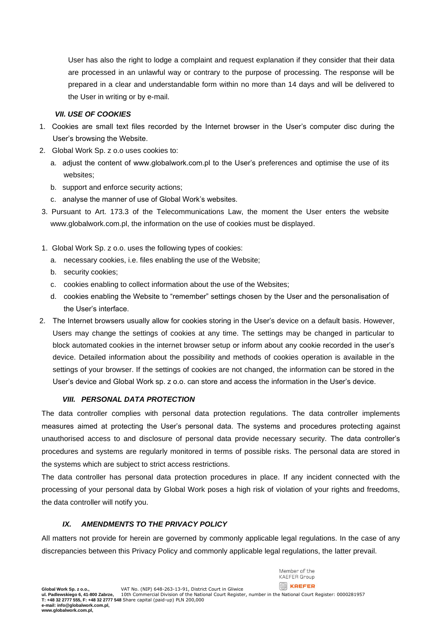User has also the right to lodge a complaint and request explanation if they consider that their data are processed in an unlawful way or contrary to the purpose of processing. The response will be prepared in a clear and understandable form within no more than 14 days and will be delivered to the User in writing or by e-mail.

### *VII. USE OF COOKIES*

- 1. Cookies are small text files recorded by the Internet browser in the User's computer disc during the User's browsing the Website.
- 2. Global Work Sp. z o.o uses cookies to:
	- a. adjust the content of www.globalwork.com.pl to the User's preferences and optimise the use of its websites;
	- b. support and enforce security actions;
	- c. analyse the manner of use of Global Work's websites.
- 3. Pursuant to Art. 173.3 of the Telecommunications Law, the moment the User enters the website [www.globalwork.com.pl,](http://www.globalwork.com.pl/) the information on the use of cookies must be displayed.
- 1. Global Work Sp. z o.o. uses the following types of cookies:
	- a. necessary cookies, i.e. files enabling the use of the Website;
	- b. security cookies;
	- c. cookies enabling to collect information about the use of the Websites;
	- d. cookies enabling the Website to "remember" settings chosen by the User and the personalisation of the User's interface.
- 2. The Internet browsers usually allow for cookies storing in the User's device on a default basis. However, Users may change the settings of cookies at any time. The settings may be changed in particular to block automated cookies in the internet browser setup or inform about any cookie recorded in the user's device. Detailed information about the possibility and methods of cookies operation is available in the settings of your browser. If the settings of cookies are not changed, the information can be stored in the User's device and Global Work sp. z o.o. can store and access the information in the User's device.

# *VIII. PERSONAL DATA PROTECTION*

The data controller complies with personal data protection regulations. The data controller implements measures aimed at protecting the User's personal data. The systems and procedures protecting against unauthorised access to and disclosure of personal data provide necessary security. The data controller's procedures and systems are regularly monitored in terms of possible risks. The personal data are stored in the systems which are subject to strict access restrictions.

The data controller has personal data protection procedures in place. If any incident connected with the processing of your personal data by Global Work poses a high risk of violation of your rights and freedoms, the data controller will notify you.

# *IX. AMENDMENTS TO THE PRIVACY POLICY*

All matters not provide for herein are governed by commonly applicable legal regulations. In the case of any discrepancies between this Privacy Policy and commonly applicable legal regulations, the latter prevail.

Member of the